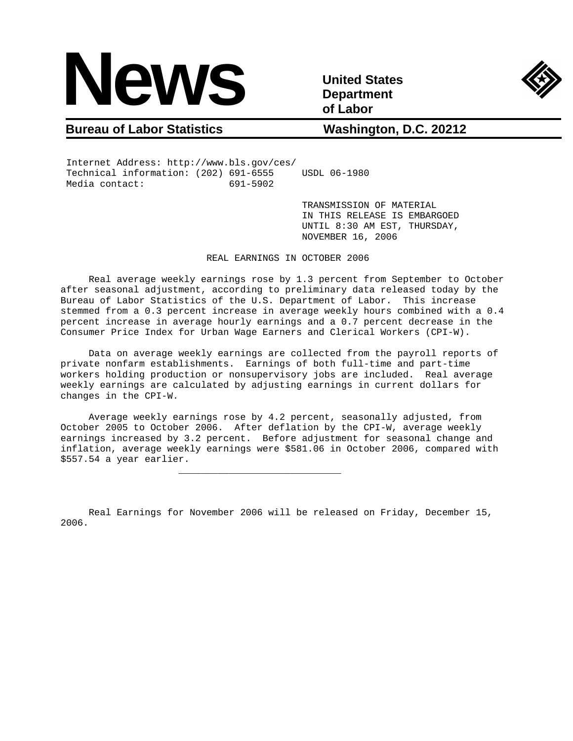

**Department of Labor** 



## **Bureau of Labor Statistics Washington, D.C. 20212**

 Internet Address: http://www.bls.gov/ces/ Technical information: (202) 691-6555 USDL 06-1980 Media contact: 691-5902

 $\frac{1}{\sqrt{2}}$  ,  $\frac{1}{\sqrt{2}}$  ,  $\frac{1}{\sqrt{2}}$  ,  $\frac{1}{\sqrt{2}}$  ,  $\frac{1}{\sqrt{2}}$  ,  $\frac{1}{\sqrt{2}}$  ,  $\frac{1}{\sqrt{2}}$  ,  $\frac{1}{\sqrt{2}}$  ,  $\frac{1}{\sqrt{2}}$  ,  $\frac{1}{\sqrt{2}}$  ,  $\frac{1}{\sqrt{2}}$  ,  $\frac{1}{\sqrt{2}}$  ,  $\frac{1}{\sqrt{2}}$  ,  $\frac{1}{\sqrt{2}}$  ,  $\frac{1}{\sqrt{2}}$ 

 TRANSMISSION OF MATERIAL IN THIS RELEASE IS EMBARGOED UNTIL 8:30 AM EST, THURSDAY, NOVEMBER 16, 2006

REAL EARNINGS IN OCTOBER 2006

 Real average weekly earnings rose by 1.3 percent from September to October after seasonal adjustment, according to preliminary data released today by the Bureau of Labor Statistics of the U.S. Department of Labor. This increase stemmed from a 0.3 percent increase in average weekly hours combined with a 0.4 percent increase in average hourly earnings and a 0.7 percent decrease in the Consumer Price Index for Urban Wage Earners and Clerical Workers (CPI-W).

 Data on average weekly earnings are collected from the payroll reports of private nonfarm establishments. Earnings of both full-time and part-time workers holding production or nonsupervisory jobs are included. Real average weekly earnings are calculated by adjusting earnings in current dollars for changes in the CPI-W.

 Average weekly earnings rose by 4.2 percent, seasonally adjusted, from October 2005 to October 2006. After deflation by the CPI-W, average weekly earnings increased by 3.2 percent. Before adjustment for seasonal change and inflation, average weekly earnings were \$581.06 in October 2006, compared with \$557.54 a year earlier.

 Real Earnings for November 2006 will be released on Friday, December 15, 2006.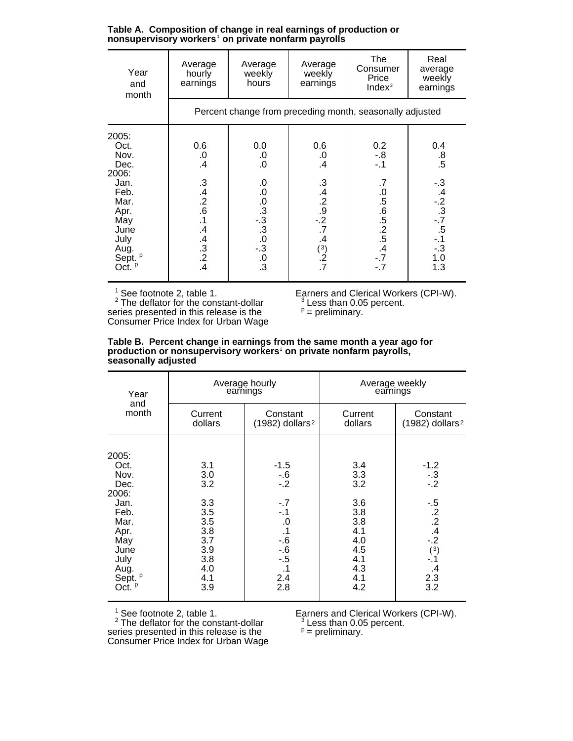**Table A. Composition of change in real earnings of production or nonsupervisory workers**<sup>1</sup>  **on private nonfarm payrolls**

| Year<br>and<br>month                                                                                                                             | Average<br>hourly<br>earnings                                                               | Average<br>weekly<br>hours                                                      | Average<br>weekly<br>earnings                                                             | <b>The</b><br>Consumer<br>Price<br>Index <sup>2</sup>                      | Real<br>average<br>weekly<br>earnings                                                |  |  |  |
|--------------------------------------------------------------------------------------------------------------------------------------------------|---------------------------------------------------------------------------------------------|---------------------------------------------------------------------------------|-------------------------------------------------------------------------------------------|----------------------------------------------------------------------------|--------------------------------------------------------------------------------------|--|--|--|
|                                                                                                                                                  | Percent change from preceding month, seasonally adjusted                                    |                                                                                 |                                                                                           |                                                                            |                                                                                      |  |  |  |
| 2005:<br>Oct.<br>Nov.<br>Dec.<br>2006:<br>Jan.<br>Feb.<br>Mar.<br>Apr.<br>May<br>June<br>July<br>Aug.<br>Sept. <sup>P</sup><br>Oct. <sup>P</sup> | 0.6<br>.0<br>.4<br>$.34.42.6$<br>$.61.5$<br>$\mathcal{A}$<br>$.4 \over 0.2$<br>$.4 \over 4$ | 0.0<br>0.<br>$\overline{0}$ .<br>0<br>0<br>0<br>3<br>0<br>3<br>0<br>3<br>0<br>3 | 0.6<br>.0<br>$\cdot$<br>$3.4$<br>$-2.9$<br>$-2$<br>.7<br>$\cdot$<br>$\binom{3}{2}$<br>.7. | $0.2$<br>-.8<br>-.1<br>.7<br>$.5\,6$<br>$.5\,2$<br>$.5\,4$<br>$-7 - 7 - 7$ | $0.4$<br>$0.8$<br>$.5$<br>$-3$<br>$-2$<br>$-3$<br>$-5$<br>$-1$<br>$-3$<br>1.0<br>1.3 |  |  |  |

 $2$  The deflator for the constant-dollar  $3$  Less than 0.05 percent. series presented in this release is the  $P =$  preliminary. Consumer Price Index for Urban Wage

Earners and Clerical Workers (CPI-W).<br>  $3$  Less than 0.05 percent.<br>  $P =$  preliminary.

| Table B. Percent change in earnings from the same month a year ago for         |
|--------------------------------------------------------------------------------|
| production or nonsupervisory workers <sup>1</sup> on private nonfarm payrolls, |
| seasonally adjusted                                                            |

| Year                                                                                                                                  |                                                                                         | Average hourly<br>earnings                                                                                   | Average weekly<br>earnings                                                              |                                                                                                           |  |
|---------------------------------------------------------------------------------------------------------------------------------------|-----------------------------------------------------------------------------------------|--------------------------------------------------------------------------------------------------------------|-----------------------------------------------------------------------------------------|-----------------------------------------------------------------------------------------------------------|--|
| and<br>month                                                                                                                          | Current<br>dollars                                                                      | Constant<br>$(1982)$ dollars <sup>2</sup>                                                                    | Current<br>dollars                                                                      | Constant<br>$(1982)$ dollars <sup>2</sup>                                                                 |  |
| 2005:<br>Oct.<br>Nov.<br>Dec.<br>2006:<br>Jan.<br>Feb.<br>Mar.<br>Apr.<br>May<br>June<br>July<br>Aug.<br>Sept. <sup>p</sup><br>Oct. P | 3.1<br>3.0<br>3.2<br>3.3<br>3.5<br>3.5<br>3.8<br>3.7<br>3.9<br>3.8<br>4.0<br>4.1<br>3.9 | $-1.5$<br>$-6$<br>-.2<br>$-.7$<br>$-1$<br>.0<br>$\cdot$ 1<br>$-6$<br>-.6<br>$-.5$<br>$\cdot$ 1<br>2.4<br>2.8 | 3.4<br>3.3<br>3.2<br>3.6<br>3.8<br>3.8<br>4.1<br>4.0<br>4.5<br>4.1<br>4.3<br>4.1<br>4.2 | $-1.2$<br>$-0.3$<br>$-0.2$<br>$-5$<br>$-2$<br>$-4$<br>$-2$<br>(3)<br>$-.1$<br>$\mathcal{A}$<br>2.3<br>3.2 |  |

 $2$  The deflator for the constant-dollar  $3$  Less than 0.05 percent. series presented in this release is the  $P =$  preliminary. Consumer Price Index for Urban Wage

Earners and Clerical Workers (CPI-W).<br>  $3$  Less than 0.05 percent.<br>  $P =$  preliminary.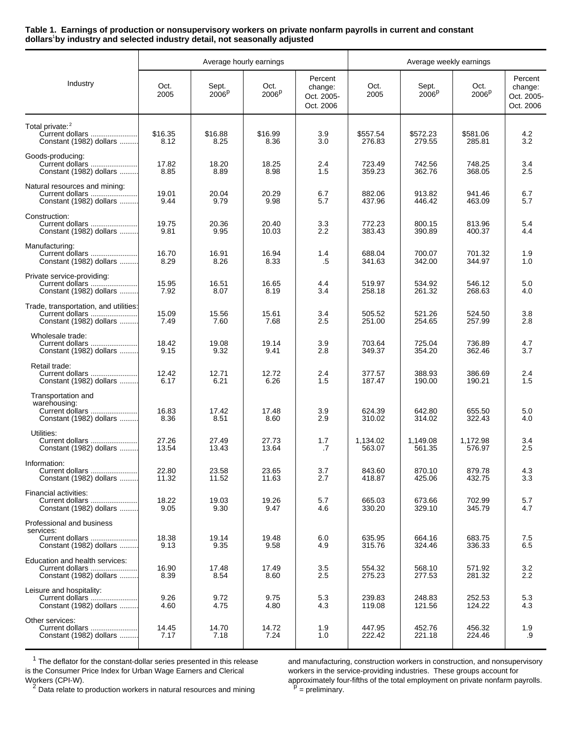## **Table 1. Earnings of production or nonsupervisory workers on private nonfarm payrolls in current and constant dollars**<sup>1</sup>**by industry and selected industry detail, not seasonally adjusted**

|                                                                                      | Average hourly earnings |                            |                           |                                               | Average weekly earnings |                            |                           |                                               |
|--------------------------------------------------------------------------------------|-------------------------|----------------------------|---------------------------|-----------------------------------------------|-------------------------|----------------------------|---------------------------|-----------------------------------------------|
| Industry                                                                             | Oct.<br>2005            | Sept.<br>2006 <sup>p</sup> | Oct.<br>2006 <sup>p</sup> | Percent<br>change:<br>Oct. 2005-<br>Oct. 2006 | Oct.<br>2005            | Sept.<br>2006 <sup>p</sup> | Oct.<br>2006 <sup>p</sup> | Percent<br>change:<br>Oct. 2005-<br>Oct. 2006 |
| Total private: 2<br>Current dollars<br>Constant (1982) dollars                       | \$16.35<br>8.12         | \$16.88<br>8.25            | \$16.99<br>8.36           | 3.9<br>3.0                                    | \$557.54<br>276.83      | \$572.23<br>279.55         | \$581.06<br>285.81        | 4.2<br>3.2                                    |
| Goods-producing:<br>Current dollars<br>Constant (1982) dollars                       | 17.82<br>8.85           | 18.20<br>8.89              | 18.25<br>8.98             | 2.4<br>1.5                                    | 723.49<br>359.23        | 742.56<br>362.76           | 748.25<br>368.05          | 3.4<br>2.5                                    |
| Natural resources and mining:<br>Current dollars<br>Constant (1982) dollars          | 19.01<br>9.44           | 20.04<br>9.79              | 20.29<br>9.98             | 6.7<br>5.7                                    | 882.06<br>437.96        | 913.82<br>446.42           | 941.46<br>463.09          | 6.7<br>5.7                                    |
| Construction:<br>Current dollars<br>Constant (1982) dollars                          | 19.75<br>9.81           | 20.36<br>9.95              | 20.40<br>10.03            | 3.3<br>2.2                                    | 772.23<br>383.43        | 800.15<br>390.89           | 813.96<br>400.37          | 5.4<br>4.4                                    |
| Manufacturing:<br>Current dollars<br>Constant (1982) dollars                         | 16.70<br>8.29           | 16.91<br>8.26              | 16.94<br>8.33             | 1.4<br>.5                                     | 688.04<br>341.63        | 700.07<br>342.00           | 701.32<br>344.97          | 1.9<br>1.0                                    |
| Private service-providing:<br>Constant (1982) dollars                                | 15.95<br>7.92           | 16.51<br>8.07              | 16.65<br>8.19             | 4.4<br>3.4                                    | 519.97<br>258.18        | 534.92<br>261.32           | 546.12<br>268.63          | 5.0<br>4.0                                    |
| Trade, transportation, and utilities:<br>Current dollars<br>Constant (1982) dollars  | 15.09<br>7.49           | 15.56<br>7.60              | 15.61<br>7.68             | 3.4<br>2.5                                    | 505.52<br>251.00        | 521.26<br>254.65           | 524.50<br>257.99          | 3.8<br>2.8                                    |
| Wholesale trade:<br>Current dollars<br>Constant (1982) dollars                       | 18.42<br>9.15           | 19.08<br>9.32              | 19.14<br>9.41             | 3.9<br>2.8                                    | 703.64<br>349.37        | 725.04<br>354.20           | 736.89<br>362.46          | 4.7<br>3.7                                    |
| Retail trade:<br>Current dollars<br>Constant (1982) dollars                          | 12.42<br>6.17           | 12.71<br>6.21              | 12.72<br>6.26             | 2.4<br>1.5                                    | 377.57<br>187.47        | 388.93<br>190.00           | 386.69<br>190.21          | 2.4<br>1.5                                    |
| Transportation and<br>warehousing:<br>Current dollars<br>Constant (1982) dollars     | 16.83<br>8.36           | 17.42<br>8.51              | 17.48<br>8.60             | 3.9<br>2.9                                    | 624.39<br>310.02        | 642.80<br>314.02           | 655.50<br>322.43          | 5.0<br>4.0                                    |
| Utilities:<br>Current dollars<br>Constant (1982) dollars                             | 27.26<br>13.54          | 27.49<br>13.43             | 27.73<br>13.64            | 1.7<br>.7                                     | 1,134.02<br>563.07      | 1.149.08<br>561.35         | 1,172.98<br>576.97        | 3.4<br>2.5                                    |
| Information:<br>Current dollars<br>Constant (1982) dollars                           | 22.80<br>11.32          | 23.58<br>11.52             | 23.65<br>11.63            | 3.7<br>2.7                                    | 843.60<br>418.87        | 870.10<br>425.06           | 879.78<br>432.75          | 4.3<br>3.3                                    |
| Financial activities:<br>Current dollars<br>Constant (1982) dollars                  | 18.22<br>9.05           | 19.03<br>9.30              | 19.26<br>9.47             | 5.7<br>4.6                                    | 665.03<br>330.20        | 673.66<br>329.10           | 702.99<br>345.79          | 5.7<br>4.7                                    |
| Professional and business<br>services:<br>Current dollars<br>Constant (1982) dollars | 18.38<br>9.13           | 19.14<br>9.35              | 19.48<br>9.58             | 6.0<br>4.9                                    | 635.95<br>315.76        | 664.16<br>324.46           | 683.75<br>336.33          | 7.5<br>6.5                                    |
| Education and health services:<br>Current dollars<br>Constant (1982) dollars         | 16.90<br>8.39           | 17.48<br>8.54              | 17.49<br>8.60             | 3.5<br>2.5                                    | 554.32<br>275.23        | 568.10<br>277.53           | 571.92<br>281.32          | 3.2<br>2.2                                    |
| Leisure and hospitality:<br>Current dollars<br>Constant (1982) dollars               | 9.26<br>4.60            | 9.72<br>4.75               | 9.75<br>4.80              | 5.3<br>4.3                                    | 239.83<br>119.08        | 248.83<br>121.56           | 252.53<br>124.22          | 5.3<br>4.3                                    |
| Other services:<br>Current dollars<br>Constant (1982) dollars                        | 14.45<br>7.17           | 14.70<br>7.18              | 14.72<br>7.24             | 1.9<br>1.0                                    | 447.95<br>222.42        | 452.76<br>221.18           | 456.32<br>224.46          | 1.9<br>.9                                     |

 $1$  The deflator for the constant-dollar series presented in this release 2 Data relate to production workers in natural resources and mining<br>
<sup>2</sup> Data relate to production workers in natural resources and mining

<sup>1</sup> The deflator for the constant-dollar series presented in this release and manufacturing, construction workers in construction, and nonsupervisory is the Consumer Price Index for Urban Wage Earners and Clerical workers workers in the service-providing industries. These groups account for approximately four-fifths of the total employment on private nonfarm payrolls.  $\overline{P}$  = preliminary.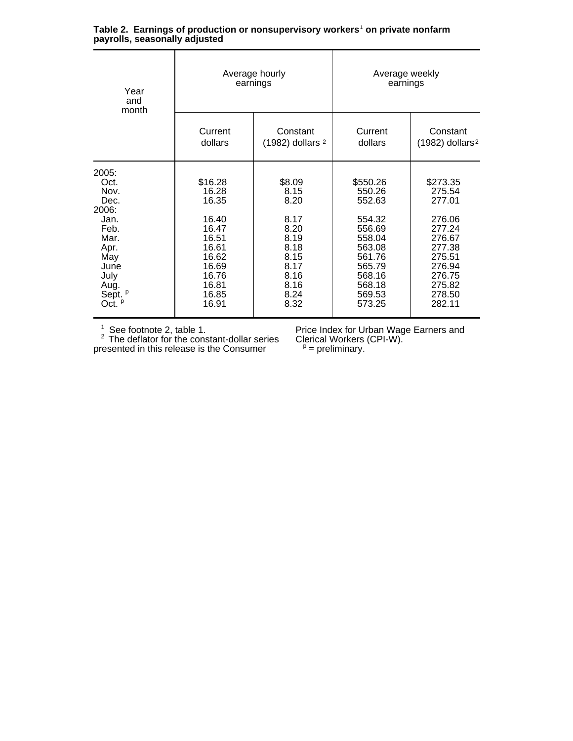| Year<br>and<br>month                                                                                                                  |                                                                                                                     | Average hourly<br>earnings                                                                             | Average weekly<br>earnings                                                                                                       |                                                                                                                                  |  |
|---------------------------------------------------------------------------------------------------------------------------------------|---------------------------------------------------------------------------------------------------------------------|--------------------------------------------------------------------------------------------------------|----------------------------------------------------------------------------------------------------------------------------------|----------------------------------------------------------------------------------------------------------------------------------|--|
|                                                                                                                                       | Current<br>dollars                                                                                                  | Constant<br>(1982) dollars <sup>2</sup>                                                                | Current<br>dollars                                                                                                               | Constant<br>$(1982)$ dollars <sup>2</sup>                                                                                        |  |
| 2005:<br>Oct.<br>Nov.<br>Dec.<br>2006:<br>Jan.<br>Feb.<br>Mar.<br>Apr.<br>May<br>June<br>July<br>Aug.<br>Sept. <sup>p</sup><br>Oct. P | \$16.28<br>16.28<br>16.35<br>16.40<br>16.47<br>16.51<br>16.61<br>16.62<br>16.69<br>16.76<br>16.81<br>16.85<br>16.91 | \$8.09<br>8.15<br>8.20<br>8.17<br>8.20<br>8.19<br>8.18<br>8.15<br>8.17<br>8.16<br>8.16<br>8.24<br>8.32 | \$550.26<br>550.26<br>552.63<br>554.32<br>556.69<br>558.04<br>563.08<br>561.76<br>565.79<br>568.16<br>568.18<br>569.53<br>573.25 | \$273.35<br>275.54<br>277.01<br>276.06<br>277.24<br>276.67<br>277.38<br>275.51<br>276.94<br>276.75<br>275.82<br>278.50<br>282.11 |  |

|                               | Table 2. Earnings of production or nonsupervisory workers <sup>1</sup> on private nonfarm |  |  |
|-------------------------------|-------------------------------------------------------------------------------------------|--|--|
| payrolls, seasonally adjusted |                                                                                           |  |  |

 $2$  The deflator for the constant-dollar series Clerical Workers (CPI-W). presented in this release is the Consumer  $p = p$  = preliminary.

<sup>1</sup> See footnote 2, table 1. **Price Index for Urban Wage Earners and**